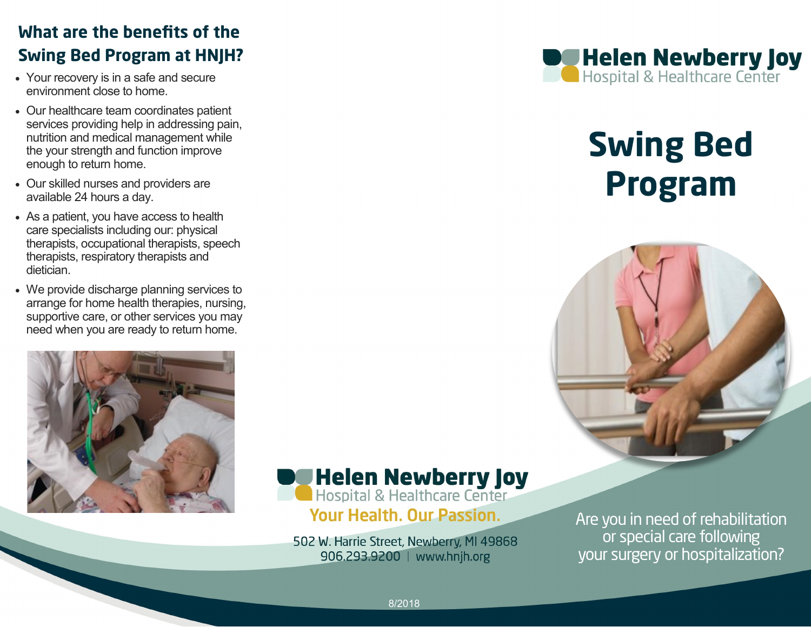## **What are the benefits of the Swing Bed Program at HNJH?**

- Your recovery is in a safe and secure environment close to home.
- Our healthcare team coordinates patient services providing help in addressing pain, nutrition and medical management while the your strength and function improve enough to return home.
- Our skilled nurses and providers are available 24 hours a day.
- As a patient, you have access to health care specialists including our: physical therapists, occupational therapists, speech therapists, respiratory therapists and dietician.
- We provide discharge planning services to arrange for home health therapies, nursing, supportive care, or other services you may need when you are ready to return home.





502 W. Harrie Street, Newberry, MI 49868 906.293.9200 | www.hnjh.org



# **Swing Bed Program**



Are you in need of rehabilitation or special care following your surgery or hospitalization?